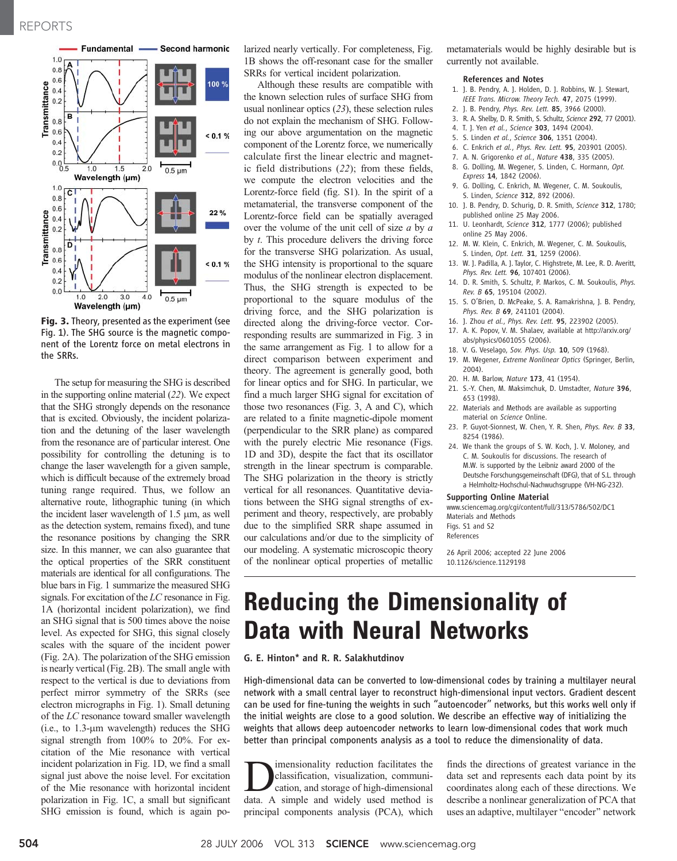

Fig. 3. Theory, presented as the experiment (see Fig. 1). The SHG source is the magnetic component of the Lorentz force on metal electrons in the SRRs.

The setup for measuring the SHG is described in the supporting online material (22). We expect that the SHG strongly depends on the resonance that is excited. Obviously, the incident polarization and the detuning of the laser wavelength from the resonance are of particular interest. One possibility for controlling the detuning is to change the laser wavelength for a given sample, which is difficult because of the extremely broad tuning range required. Thus, we follow an alternative route, lithographic tuning (in which the incident laser wavelength of  $1.5 \mu m$ , as well as the detection system, remains fixed), and tune the resonance positions by changing the SRR size. In this manner, we can also guarantee that the optical properties of the SRR constituent materials are identical for all configurations. The blue bars in Fig. 1 summarize the measured SHG signals. For excitation of the LC resonance in Fig. 1A (horizontal incident polarization), we find an SHG signal that is 500 times above the noise level. As expected for SHG, this signal closely scales with the square of the incident power (Fig. 2A). The polarization of the SHG emission is nearly vertical (Fig. 2B). The small angle with respect to the vertical is due to deviations from perfect mirror symmetry of the SRRs (see electron micrographs in Fig. 1). Small detuning of the LC resonance toward smaller wavelength  $(i.e., to 1.3-µm$  wavelength) reduces the SHG signal strength from 100% to 20%. For excitation of the Mie resonance with vertical incident polarization in Fig. 1D, we find a small signal just above the noise level. For excitation of the Mie resonance with horizontal incident polarization in Fig. 1C, a small but significant SHG emission is found, which is again polarized nearly vertically. For completeness, Fig. 1B shows the off-resonant case for the smaller SRRs for vertical incident polarization.

Although these results are compatible with the known selection rules of surface SHG from usual nonlinear optics (23), these selection rules do not explain the mechanism of SHG. Following our above argumentation on the magnetic component of the Lorentz force, we numerically calculate first the linear electric and magnetic field distributions (22); from these fields, we compute the electron velocities and the Lorentz-force field (fig. S1). In the spirit of a metamaterial, the transverse component of the Lorentz-force field can be spatially averaged over the volume of the unit cell of size  $a$  by  $a$ by t. This procedure delivers the driving force for the transverse SHG polarization. As usual, the SHG intensity is proportional to the square modulus of the nonlinear electron displacement. Thus, the SHG strength is expected to be proportional to the square modulus of the driving force, and the SHG polarization is directed along the driving-force vector. Corresponding results are summarized in Fig. 3 in the same arrangement as Fig. 1 to allow for a direct comparison between experiment and theory. The agreement is generally good, both for linear optics and for SHG. In particular, we find a much larger SHG signal for excitation of those two resonances (Fig. 3, A and C), which are related to a finite magnetic-dipole moment (perpendicular to the SRR plane) as compared with the purely electric Mie resonance (Figs. 1D and 3D), despite the fact that its oscillator strength in the linear spectrum is comparable. The SHG polarization in the theory is strictly vertical for all resonances. Quantitative deviations between the SHG signal strengths of experiment and theory, respectively, are probably due to the simplified SRR shape assumed in our calculations and/or due to the simplicity of our modeling. A systematic microscopic theory of the nonlinear optical properties of metallic metamaterials would be highly desirable but is currently not available.

#### References and Notes

- 1. J. B. Pendry, A. J. Holden, D. J. Robbins, W. J. Stewart, IEEE Trans. Microw. Theory Tech. 47, 2075 (1999).
- 2. J. B. Pendry, Phys. Rev. Lett. 85, 3966 (2000).
- 3. R. A. Shelby, D. R. Smith, S. Schultz, Science 292, 77 (2001).
- 4. T. J. Yen et al., Science 303, 1494 (2004).
- 5. S. Linden et al., Science 306, 1351 (2004).
- 6. C. Enkrich et al., Phys. Rev. Lett. 95, 203901 (2005). 7. A. N. Grigorenko et al., Nature 438, 335 (2005).
- 8. G. Dolling, M. Wegener, S. Linden, C. Hormann, Opt. Express 14, 1842 (2006).
- 9. G. Dolling, C. Enkrich, M. Wegener, C. M. Soukoulis, S. Linden, Science 312, 892 (2006).
- 10. J. B. Pendry, D. Schurig, D. R. Smith, Science 312, 1780; published online 25 May 2006.
- 11. U. Leonhardt, Science 312, 1777 (2006); published online 25 May 2006.
- 12. M. W. Klein, C. Enkrich, M. Wegener, C. M. Soukoulis, S. Linden, Opt. Lett. 31, 1259 (2006).
- 13. W. J. Padilla, A. J. Taylor, C. Highstrete, M. Lee, R. D. Averitt, Phys. Rev. Lett. 96, 107401 (2006).
- 14. D. R. Smith, S. Schultz, P. Markos, C. M. Soukoulis, Phys. Rev. B 65, 195104 (2002).
- 15. S. O'Brien, D. McPeake, S. A. Ramakrishna, J. B. Pendry, Phys. Rev. B 69, 241101 (2004).
- 16. J. Zhou et al., Phys. Rev. Lett. 95, 223902 (2005).
- 17. A. K. Popov, V. M. Shalaev, available at http://arxiv.org/ abs/physics/0601055 (2006).
- 18. V. G. Veselago, Sov. Phys. Usp. 10, 509 (1968).
- 19. M. Wegener, Extreme Nonlinear Optics (Springer, Berlin, 2004).
- 20. H. M. Barlow, Nature 173, 41 (1954).
- 21. S.-Y. Chen, M. Maksimchuk, D. Umstadter, Nature 396. 653 (1998).
- 22. Materials and Methods are available as supporting material on Science Online.
- 23. P. Guyot-Sionnest, W. Chen, Y. R. Shen, Phys. Rev. B 33, 8254 (1986).
- 24. We thank the groups of S. W. Koch, J. V. Moloney, and C. M. Soukoulis for discussions. The research of M.W. is supported by the Leibniz award 2000 of the Deutsche Forschungsgemeinschaft (DFG), that of S.L. through a Helmholtz-Hochschul-Nachwuchsgruppe (VH-NG-232).

### Supporting Online Material

www.sciencemag.org/cgi/content/full/313/5786/502/DC1 Materials and Methods Figs. S1 and S2 References

26 April 2006; accepted 22 June 2006 10.1126/science.1129198

# Reducing the Dimensionality of Data with Neural Networks

#### G. E. Hinton\* and R. R. Salakhutdinov

High-dimensional data can be converted to low-dimensional codes by training a multilayer neural network with a small central layer to reconstruct high-dimensional input vectors. Gradient descent can be used for fine-tuning the weights in such ''autoencoder'' networks, but this works well only if the initial weights are close to a good solution. We describe an effective way of initializing the weights that allows deep autoencoder networks to learn low-dimensional codes that work much better than principal components analysis as a tool to reduce the dimensionality of data.

**D**imensionality reduction facilitates the<br>cation, and storage of high-dimensional<br>data A simple and widely used method is classification, visualization, communidata. A simple and widely used method is principal components analysis (PCA), which

finds the directions of greatest variance in the data set and represents each data point by its coordinates along each of these directions. We describe a nonlinear generalization of PCA that uses an adaptive, multilayer "encoder" network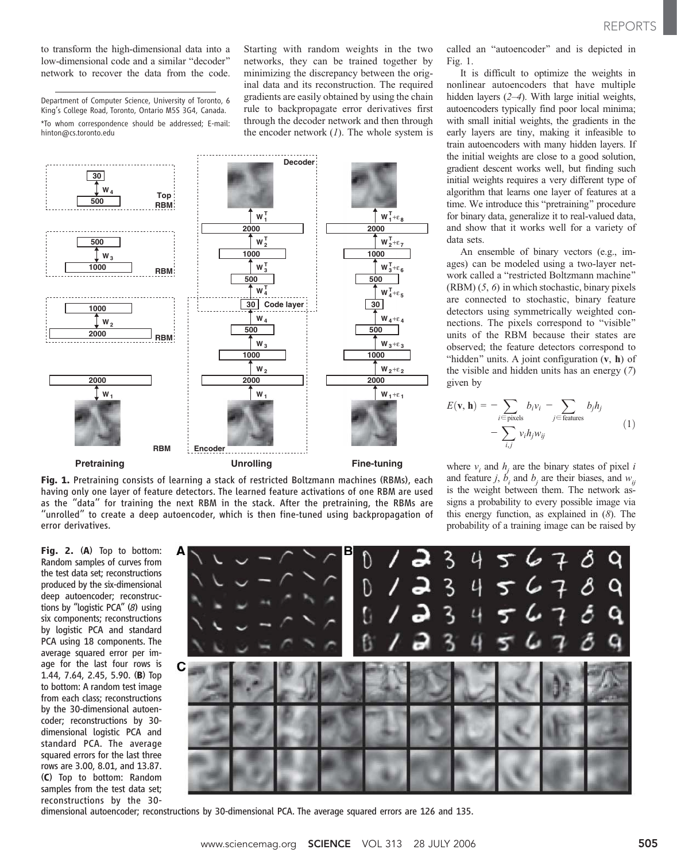to transform the high-dimensional data into a low-dimensional code and a similar "decoder" network to recover the data from the code.

Department of Computer Science, University of Toronto, 6 King's College Road, Toronto, Ontario M5S 3G4, Canada. \*To whom correspondence should be addressed; E-mail: hinton@cs.toronto.edu

Starting with random weights in the two networks, they can be trained together by minimizing the discrepancy between the original data and its reconstruction. The required gradients are easily obtained by using the chain rule to backpropagate error derivatives first through the decoder network and then through the encoder network  $(1)$ . The whole system is



Fig. 1. Pretraining consists of learning a stack of restricted Boltzmann machines (RBMs), each having only one layer of feature detectors. The learned feature activations of one RBM are used as the ''data'' for training the next RBM in the stack. After the pretraining, the RBMs are ''unrolled'' to create a deep autoencoder, which is then fine-tuned using backpropagation of error derivatives.

REPORTS

called an "autoencoder" and is depicted in Fig. 1.

It is difficult to optimize the weights in nonlinear autoencoders that have multiple hidden layers (2–4). With large initial weights, autoencoders typically find poor local minima; with small initial weights, the gradients in the early layers are tiny, making it infeasible to train autoencoders with many hidden layers. If the initial weights are close to a good solution, gradient descent works well, but finding such initial weights requires a very different type of algorithm that learns one layer of features at a time. We introduce this "pretraining" procedure for binary data, generalize it to real-valued data, and show that it works well for a variety of data sets.

An ensemble of binary vectors (e.g., images) can be modeled using a two-layer network called a "restricted Boltzmann machine" (RBM) (5, 6) in which stochastic, binary pixels are connected to stochastic, binary feature detectors using symmetrically weighted connections. The pixels correspond to "visible" units of the RBM because their states are observed; the feature detectors correspond to "hidden" units. A joint configuration  $(v, h)$  of the visible and hidden units has an energy (7) given by

$$
E(\mathbf{v}, \mathbf{h}) = -\sum_{i \in \text{pixels}} b_i v_i - \sum_{j \in \text{features}} b_j h_j
$$
  
- 
$$
\sum_{i,j} v_i h_j w_{ij}
$$
 (1)

where  $v_i$  and  $h_i$  are the binary states of pixel i and feature j,  $b_i$  and  $b_j$  are their biases, and  $w_{ij}$ is the weight between them. The network assigns a probability to every possible image via this energy function, as explained in (8). The probability of a training image can be raised by

Fig. 2. (A) Top to bottom: Random samples of curves from the test data set; reconstructions produced by the six-dimensional deep autoencoder; reconstructions by ''logistic PCA'' (8) using six components; reconstructions by logistic PCA and standard PCA using 18 components. The average squared error per image for the last four rows is 1.44, 7.64, 2.45, 5.90. (B) Top to bottom: A random test image from each class; reconstructions by the 30-dimensional autoencoder; reconstructions by 30 dimensional logistic PCA and standard PCA. The average squared errors for the last three rows are 3.00, 8.01, and 13.87. (C) Top to bottom: Random samples from the test data set; reconstructions by the 30-



dimensional autoencoder; reconstructions by 30-dimensional PCA. The average squared errors are 126 and 135.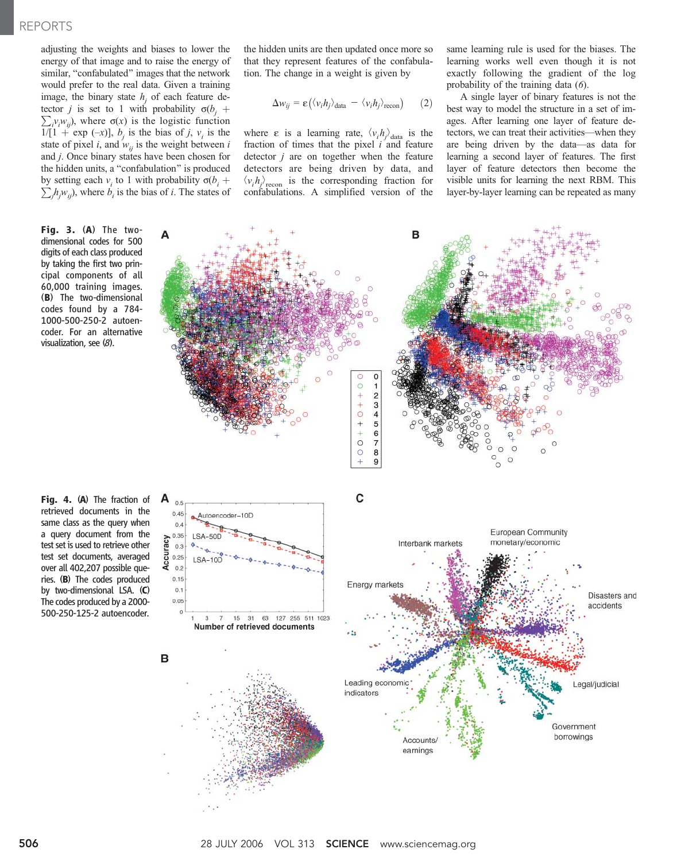## REPORTS

adjusting the weights and biases to lower the energy of that image and to raise the energy of similar, "confabulated" images that the network would prefer to the real data. Given a training image, the binary state  $h_i$  of each feature detector *j* is set to 1 with probability  $\sigma(b_j + \nabla w_k)$  where  $\sigma(x)$  is the logistic function  $i_{i}v_{i}w_{ij}$ , where  $\sigma(x)$  is the logistic function  $1/[1 + \exp(-x)]$ ,  $b_i$  is the bias of j,  $v_i$  is the state of pixel *i*, and  $w_{ij}$  is the weight between *i* and j. Once binary states have been chosen for the hidden units, a "confabulation" is produced by setting each  $v_i$  to 1 with probability  $\sigma(b_i + \nabla h_{i0})$  where h is the bigs of i. The states of  $j<sub>j</sub>h<sub>j</sub>w<sub>ij</sub>$ ), where  $b<sub>i</sub>$  is the bias of *i*. The states of

Fig. 3. (A) The twodimensional codes for 500 digits of each class produced by taking the first two principal components of all 60,000 training images. (B) The two-dimensional codes found by a 784- 1000-500-250-2 autoencoder. For an alternative visualization, see (8).

Fig. 4. (A) The fraction of retrieved documents in the same class as the query when a query document from the test set is used to retrieve other test set documents, averaged over all 402,207 possible queries. (B) The codes produced by two-dimensional LSA. (C) The codes produced by a 2000- 500-250-125-2 autoencoder.

the hidden units are then updated once more so that they represent features of the confabulation. The change in a weight is given by

$$
\Delta w_{ij} = \varepsilon \big( \langle v_i h_j \rangle_{\text{data}} - \langle v_i h_j \rangle_{\text{recon}} \big) \qquad (2)
$$

where  $\varepsilon$  is a learning rate,  $\langle v_i h_j \rangle_{data}$  is the fraction of times that the pixel  $\vec{i}$  and feature detector  $j$  are on together when the feature detectors are being driven by data, and  $\langle v_i h_j \rangle_{\text{recon}}$  is the corresponding fraction for confabulations. A simplified version of the same learning rule is used for the biases. The learning works well even though it is not exactly following the gradient of the log probability of the training data (6).

A single layer of binary features is not the best way to model the structure in a set of images. After learning one layer of feature detectors, we can treat their activities—when they are being driven by the data—as data for learning a second layer of features. The first layer of feature detectors then become the visible units for learning the next RBM. This layer-by-layer learning can be repeated as many